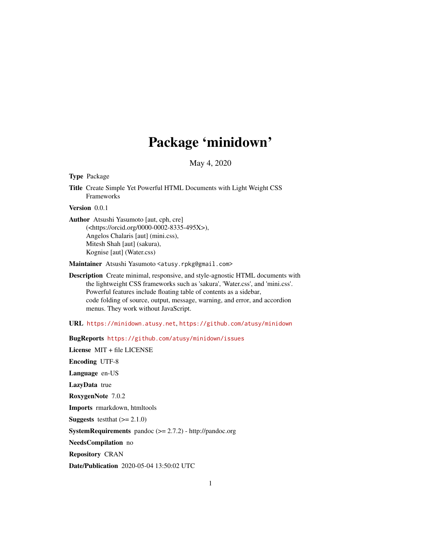# Package 'minidown'

May 4, 2020

<span id="page-0-0"></span>Type Package

Title Create Simple Yet Powerful HTML Documents with Light Weight CSS Frameworks

Version 0.0.1

Author Atsushi Yasumoto [aut, cph, cre] (<https://orcid.org/0000-0002-8335-495X>), Angelos Chalaris [aut] (mini.css), Mitesh Shah [aut] (sakura), Kognise [aut] (Water.css)

Maintainer Atsushi Yasumoto <atusy.rpkg@gmail.com>

Description Create minimal, responsive, and style-agnostic HTML documents with the lightweight CSS frameworks such as 'sakura', 'Water.css', and 'mini.css'. Powerful features include floating table of contents as a sidebar, code folding of source, output, message, warning, and error, and accordion menus. They work without JavaScript.

URL <https://minidown.atusy.net>, <https://github.com/atusy/minidown>

BugReports <https://github.com/atusy/minidown/issues>

License MIT + file LICENSE Encoding UTF-8 Language en-US LazyData true RoxygenNote 7.0.2 Imports rmarkdown, htmltools **Suggests** testthat  $(>= 2.1.0)$ SystemRequirements pandoc (>= 2.7.2) - http://pandoc.org NeedsCompilation no Repository CRAN

Date/Publication 2020-05-04 13:50:02 UTC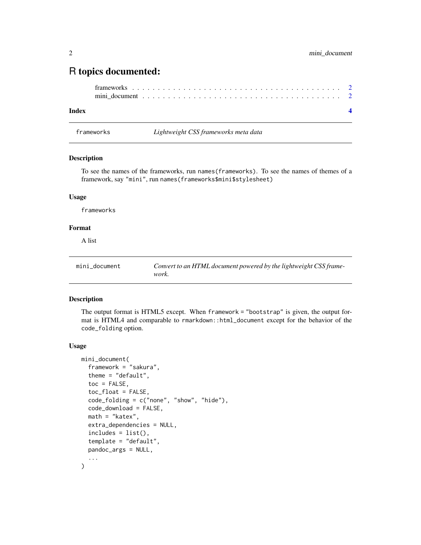## <span id="page-1-0"></span>R topics documented:

#### **Index** [4](#page-3-0)

frameworks *Lightweight CSS frameworks meta data*

#### Description

To see the names of the frameworks, run names(frameworks). To see the names of themes of a framework, say "mini", run names(frameworks\$mini\$stylesheet)

#### Usage

frameworks

#### Format

A list

| mini document | Convert to an HTML document powered by the lightweight CSS frame- |
|---------------|-------------------------------------------------------------------|
|               | work.                                                             |

#### Description

The output format is HTML5 except. When framework = "bootstrap" is given, the output format is HTML4 and comparable to rmarkdown::html\_document except for the behavior of the code\_folding option.

#### Usage

```
mini_document(
  framework = "sakura",
  theme = "default",
  toc = FALSE,toc_float = FALSE,
  code_folding = c("none", "show", "hide"),
  code_download = FALSE,
 math = "katex",
  extra_dependencies = NULL,
  includes = list(),
  template = "default",
 pandoc_args = NULL,
  ...
\mathcal{E}
```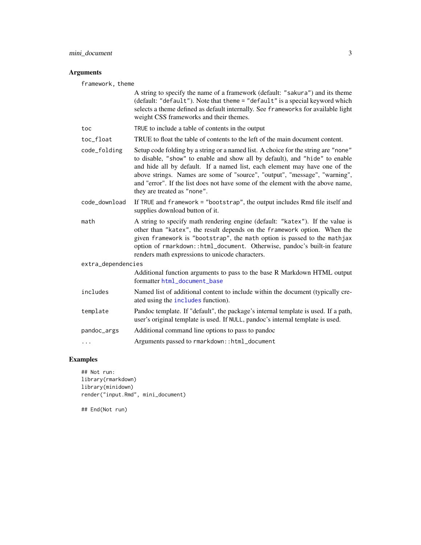#### <span id="page-2-0"></span>Arguments

framework, theme

|                    | A string to specify the name of a framework (default: "sakura") and its theme<br>(default: "default"). Note that theme = "default" is a special keyword which<br>selects a theme defined as default internally. See frameworks for available light<br>weight CSS frameworks and their themes.                                                                                                                                                   |
|--------------------|-------------------------------------------------------------------------------------------------------------------------------------------------------------------------------------------------------------------------------------------------------------------------------------------------------------------------------------------------------------------------------------------------------------------------------------------------|
| toc                | TRUE to include a table of contents in the output                                                                                                                                                                                                                                                                                                                                                                                               |
| toc_float          | TRUE to float the table of contents to the left of the main document content.                                                                                                                                                                                                                                                                                                                                                                   |
| code_folding       | Setup code folding by a string or a named list. A choice for the string are "none"<br>to disable, "show" to enable and show all by default), and "hide" to enable<br>and hide all by default. If a named list, each element may have one of the<br>above strings. Names are some of "source", "output", "message", "warning",<br>and "error". If the list does not have some of the element with the above name,<br>they are treated as "none". |
| code_download      | If TRUE and framework = "bootstrap", the output includes Rmd file itself and<br>supplies download button of it.                                                                                                                                                                                                                                                                                                                                 |
| math               | A string to specify math rendering engine (default: "katex"). If the value is<br>other than "katex", the result depends on the framework option. When the<br>given framework is "bootstrap", the math option is passed to the mathjax                                                                                                                                                                                                           |
|                    | option of rmarkdown::html_document. Otherwise, pandoc's built-in feature<br>renders math expressions to unicode characters.                                                                                                                                                                                                                                                                                                                     |
| extra_dependencies |                                                                                                                                                                                                                                                                                                                                                                                                                                                 |
|                    | Additional function arguments to pass to the base R Markdown HTML output<br>formatter html_document_base                                                                                                                                                                                                                                                                                                                                        |
| includes           | Named list of additional content to include within the document (typically cre-<br>ated using the <i>includes</i> function).                                                                                                                                                                                                                                                                                                                    |
| template           | Pandoc template. If "default", the package's internal template is used. If a path,<br>user's original template is used. If NULL, pandoc's internal template is used.                                                                                                                                                                                                                                                                            |
| pandoc_args        | Additional command line options to pass to pandoc                                                                                                                                                                                                                                                                                                                                                                                               |

### Examples

## Not run: library(rmarkdown) library(minidown) render("input.Rmd", mini\_document)

## End(Not run)